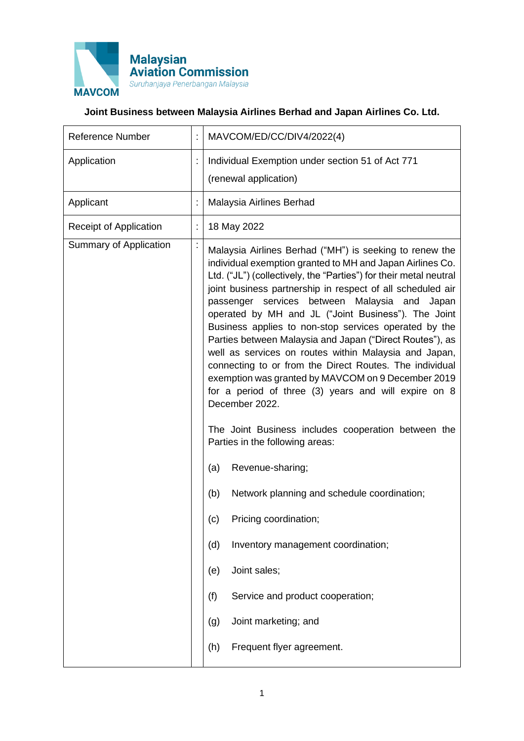

## **Joint Business between Malaysia Airlines Berhad and Japan Airlines Co. Ltd.**

| <b>Reference Number</b>       |   | MAVCOM/ED/CC/DIV4/2022(4)                                                                                                                                                                                                                                                                                                                                                                                                                                                                                                                                                                                                                                                                                                                                                                                                                                                                                                                                                                                                                                                                                                             |
|-------------------------------|---|---------------------------------------------------------------------------------------------------------------------------------------------------------------------------------------------------------------------------------------------------------------------------------------------------------------------------------------------------------------------------------------------------------------------------------------------------------------------------------------------------------------------------------------------------------------------------------------------------------------------------------------------------------------------------------------------------------------------------------------------------------------------------------------------------------------------------------------------------------------------------------------------------------------------------------------------------------------------------------------------------------------------------------------------------------------------------------------------------------------------------------------|
| Application                   |   | Individual Exemption under section 51 of Act 771<br>(renewal application)                                                                                                                                                                                                                                                                                                                                                                                                                                                                                                                                                                                                                                                                                                                                                                                                                                                                                                                                                                                                                                                             |
| Applicant                     | t | Malaysia Airlines Berhad                                                                                                                                                                                                                                                                                                                                                                                                                                                                                                                                                                                                                                                                                                                                                                                                                                                                                                                                                                                                                                                                                                              |
| <b>Receipt of Application</b> | t | 18 May 2022                                                                                                                                                                                                                                                                                                                                                                                                                                                                                                                                                                                                                                                                                                                                                                                                                                                                                                                                                                                                                                                                                                                           |
| Summary of Application        |   | Malaysia Airlines Berhad ("MH") is seeking to renew the<br>individual exemption granted to MH and Japan Airlines Co.<br>Ltd. ("JL") (collectively, the "Parties") for their metal neutral<br>joint business partnership in respect of all scheduled air<br>passenger services between Malaysia and Japan<br>operated by MH and JL ("Joint Business"). The Joint<br>Business applies to non-stop services operated by the<br>Parties between Malaysia and Japan ("Direct Routes"), as<br>well as services on routes within Malaysia and Japan,<br>connecting to or from the Direct Routes. The individual<br>exemption was granted by MAVCOM on 9 December 2019<br>for a period of three (3) years and will expire on 8<br>December 2022.<br>The Joint Business includes cooperation between the<br>Parties in the following areas:<br>Revenue-sharing;<br>(a)<br>Network planning and schedule coordination;<br>(b)<br>Pricing coordination;<br>(c)<br>Inventory management coordination;<br>(d)<br>Joint sales;<br>(e)<br>(f)<br>Service and product cooperation;<br>Joint marketing; and<br>(g)<br>Frequent flyer agreement.<br>(h) |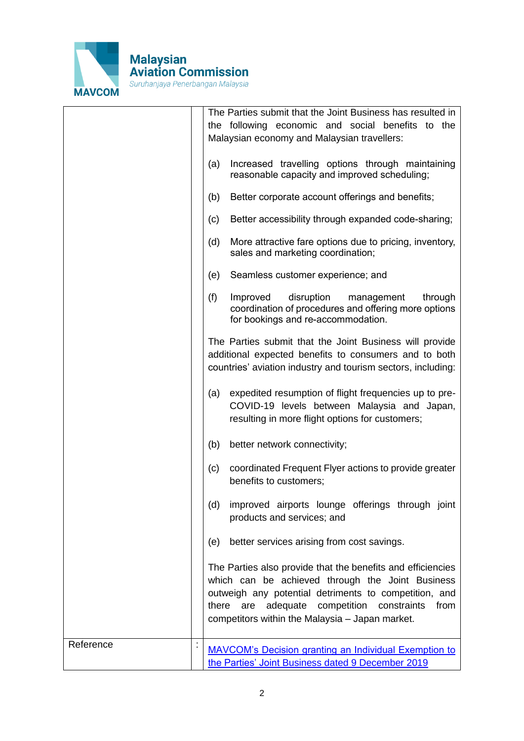

|           | (a)<br>(b)<br>(c)<br>(d)<br>(e)<br>(f) | The Parties submit that the Joint Business has resulted in<br>the following economic and social benefits to the<br>Malaysian economy and Malaysian travellers:<br>Increased travelling options through maintaining<br>reasonable capacity and improved scheduling;<br>Better corporate account offerings and benefits;<br>Better accessibility through expanded code-sharing;<br>More attractive fare options due to pricing, inventory,<br>sales and marketing coordination;<br>Seamless customer experience; and<br>Improved<br>disruption<br>management<br>through<br>coordination of procedures and offering more options<br>for bookings and re-accommodation.<br>The Parties submit that the Joint Business will provide<br>additional expected benefits to consumers and to both<br>countries' aviation industry and tourism sectors, including: |
|-----------|----------------------------------------|---------------------------------------------------------------------------------------------------------------------------------------------------------------------------------------------------------------------------------------------------------------------------------------------------------------------------------------------------------------------------------------------------------------------------------------------------------------------------------------------------------------------------------------------------------------------------------------------------------------------------------------------------------------------------------------------------------------------------------------------------------------------------------------------------------------------------------------------------------|
|           | (a)                                    | expedited resumption of flight frequencies up to pre-<br>COVID-19 levels between Malaysia and Japan,<br>resulting in more flight options for customers;                                                                                                                                                                                                                                                                                                                                                                                                                                                                                                                                                                                                                                                                                                 |
|           | (b)                                    | better network connectivity;                                                                                                                                                                                                                                                                                                                                                                                                                                                                                                                                                                                                                                                                                                                                                                                                                            |
|           | (c)                                    | coordinated Frequent Flyer actions to provide greater<br>benefits to customers;                                                                                                                                                                                                                                                                                                                                                                                                                                                                                                                                                                                                                                                                                                                                                                         |
|           | (d)                                    | improved airports lounge offerings through joint<br>products and services; and                                                                                                                                                                                                                                                                                                                                                                                                                                                                                                                                                                                                                                                                                                                                                                          |
|           | (e)                                    | better services arising from cost savings.                                                                                                                                                                                                                                                                                                                                                                                                                                                                                                                                                                                                                                                                                                                                                                                                              |
|           |                                        | The Parties also provide that the benefits and efficiencies<br>which can be achieved through the Joint Business<br>outweigh any potential detriments to competition, and<br>adequate<br>competition constraints<br>there<br>are<br>from<br>competitors within the Malaysia - Japan market.                                                                                                                                                                                                                                                                                                                                                                                                                                                                                                                                                              |
| Reference |                                        | <b>MAVCOM's Decision granting an Individual Exemption to</b><br>the Parties' Joint Business dated 9 December 2019                                                                                                                                                                                                                                                                                                                                                                                                                                                                                                                                                                                                                                                                                                                                       |